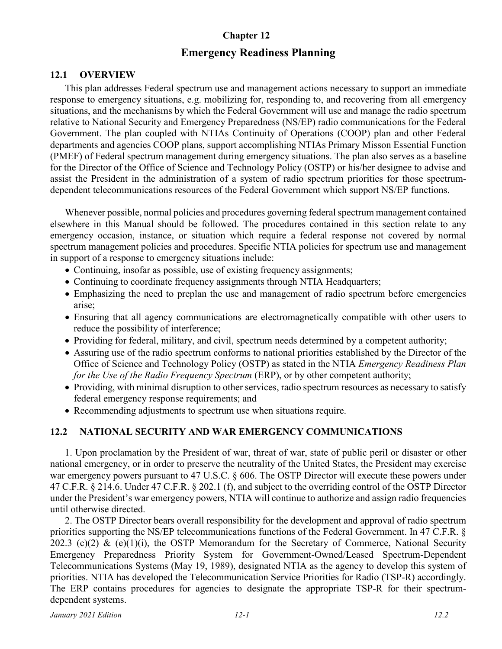## **Chapter 12**

# **Emergency Readiness Planning**

#### **12.1 OVERVIEW**

This plan addresses Federal spectrum use and management actions necessary to support an immediate response to emergency situations, e.g. mobilizing for, responding to, and recovering from all emergency situations, and the mechanisms by which the Federal Government will use and manage the radio spectrum relative to National Security and Emergency Preparedness (NS/EP) radio communications for the Federal Government. The plan coupled with NTIAs Continuity of Operations (COOP) plan and other Federal departments and agencies COOP plans, support accomplishing NTIAs Primary Misson Essential Function (PMEF) of Federal spectrum management during emergency situations. The plan also serves as a baseline for the Director of the Office of Science and Technology Policy (OSTP) or his/her designee to advise and assist the President in the administration of a system of radio spectrum priorities for those spectrumdependent telecommunications resources of the Federal Government which support NS/EP functions.

Whenever possible, normal policies and procedures governing federal spectrum management contained elsewhere in this Manual should be followed. The procedures contained in this section relate to any emergency occasion, instance, or situation which require a federal response not covered by normal spectrum management policies and procedures. Specific NTIA policies for spectrum use and management in support of a response to emergency situations include:

- Continuing, insofar as possible, use of existing frequency assignments;
- Continuing to coordinate frequency assignments through NTIA Headquarters;
- Emphasizing the need to preplan the use and management of radio spectrum before emergencies arise;
- Ensuring that all agency communications are electromagnetically compatible with other users to reduce the possibility of interference;
- Providing for federal, military, and civil, spectrum needs determined by a competent authority;
- Assuring use of the radio spectrum conforms to national priorities established by the Director of the Office of Science and Technology Policy (OSTP) as stated in the NTIA *Emergency Readiness Plan for the Use of the Radio Frequency Spectrum (ERP)*, or by other competent authority;
- Providing, with minimal disruption to other services, radio spectrum resources as necessary to satisfy federal emergency response requirements; and
- Recommending adjustments to spectrum use when situations require.

# **12.2 NATIONAL SECURITY AND WAR EMERGENCY COMMUNICATIONS**

1. Upon proclamation by the President of war, threat of war, state of public peril or disaster or other national emergency, or in order to preserve the neutrality of the United States, the President may exercise war emergency powers pursuant to 47 U.S.C. § 606. The OSTP Director will execute these powers under 47 C.F.R. § 214.6. Under 47 C.F.R. § 202.1 (f), and subject to the overriding control of the OSTP Director under the President's war emergency powers, NTIA will continue to authorize and assign radio frequencies until otherwise directed.

2. The OSTP Director bears overall responsibility for the development and approval of radio spectrum priorities supporting the NS/EP telecommunications functions of the Federal Government. In 47 C.F.R. § 202.3 (c)(2) & (e)(1)(i), the OSTP Memorandum for the Secretary of Commerce, National Security Emergency Preparedness Priority System for Government-Owned/Leased Spectrum-Dependent Telecommunications Systems (May 19, 1989), designated NTIA as the agency to develop this system of priorities. NTIA has developed the Telecommunication Service Priorities for Radio (TSP-R) accordingly. The ERP contains procedures for agencies to designate the appropriate TSP-R for their spectrumdependent systems.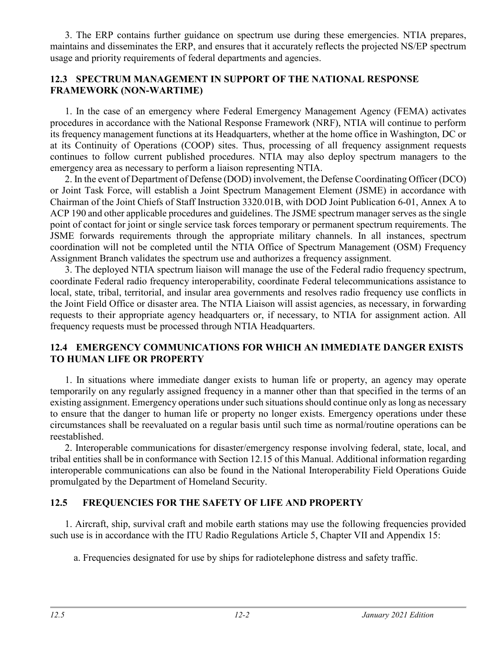3. The ERP contains further guidance on spectrum use during these emergencies. NTIA prepares, maintains and disseminates the ERP, and ensures that it accurately reflects the projected NS/EP spectrum usage and priority requirements of federal departments and agencies.

#### **12.3 SPECTRUM MANAGEMENT IN SUPPORT OF THE NATIONAL RESPONSE FRAMEWORK (NON-WARTIME)**

1. In the case of an emergency where Federal Emergency Management Agency (FEMA) activates procedures in accordance with the National Response Framework (NRF), NTIA will continue to perform its frequency management functions at its Headquarters, whether at the home office in Washington, DC or at its Continuity of Operations (COOP) sites. Thus, processing of all frequency assignment requests continues to follow current published procedures. NTIA may also deploy spectrum managers to the emergency area as necessary to perform a liaison representing NTIA.

2. In the event of Department of Defense (DOD) involvement, the Defense Coordinating Officer (DCO) or Joint Task Force, will establish a Joint Spectrum Management Element (JSME) in accordance with Chairman of the Joint Chiefs of Staff Instruction 3320.01B, with DOD Joint Publication 6-01, Annex A to ACP 190 and other applicable procedures and guidelines. The JSME spectrum manager serves as the single point of contact for joint or single service task forces temporary or permanent spectrum requirements. The JSME forwards requirements through the appropriate military channels. In all instances, spectrum coordination will not be completed until the NTIA Office of Spectrum Management (OSM) Frequency Assignment Branch validates the spectrum use and authorizes a frequency assignment.

3. The deployed NTIA spectrum liaison will manage the use of the Federal radio frequency spectrum, coordinate Federal radio frequency interoperability, coordinate Federal telecommunications assistance to local, state, tribal, territorial, and insular area governments and resolves radio frequency use conflicts in the Joint Field Office or disaster area. The NTIA Liaison will assist agencies, as necessary, in forwarding requests to their appropriate agency headquarters or, if necessary, to NTIA for assignment action. All frequency requests must be processed through NTIA Headquarters.

#### **12.4 EMERGENCY COMMUNICATIONS FOR WHICH AN IMMEDIATE DANGER EXISTS TO HUMAN LIFE OR PROPERTY**

1. In situations where immediate danger exists to human life or property, an agency may operate temporarily on any regularly assigned frequency in a manner other than that specified in the terms of an existing assignment. Emergency operations under such situations should continue only as long as necessary to ensure that the danger to human life or property no longer exists. Emergency operations under these circumstances shall be reevaluated on a regular basis until such time as normal/routine operations can be reestablished.

2. Interoperable communications for disaster/emergency response involving federal, state, local, and tribal entities shall be in conformance with Section 12.15 of this Manual. Additional information regarding interoperable communications can also be found in the National Interoperability Field Operations Guide promulgated by the Department of Homeland Security.

## **12.5 FREQUENCIES FOR THE SAFETY OF LIFE AND PROPERTY**

1. Aircraft, ship, survival craft and mobile earth stations may use the following frequencies provided such use is in accordance with the ITU Radio Regulations Article 5, Chapter VII and Appendix 15:

a. Frequencies designated for use by ships for radiotelephone distress and safety traffic.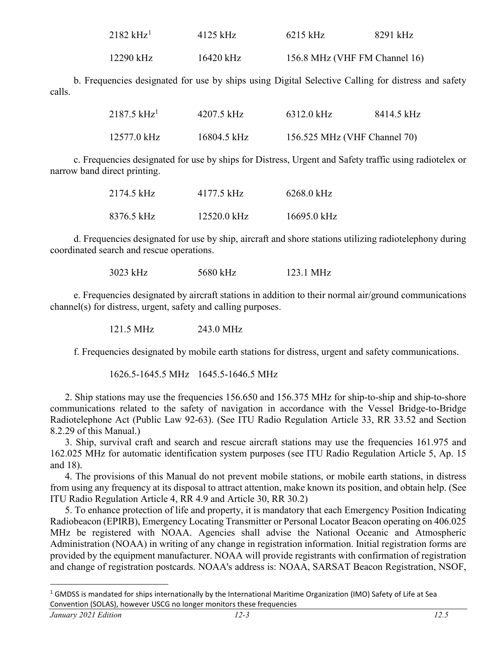<span id="page-2-0"></span>

| $2182~\mathrm{kHz}^{1}$ | $4125$ kHz | $6215$ kHz                    | 8291 kHz |
|-------------------------|------------|-------------------------------|----------|
| 12290 kHz               | 16420 kHz  | 156.8 MHz (VHF FM Channel 16) |          |

b. Frequencies designated for use by ships using Digital Selective Calling for distress and safety calls.

| $2187.5~\mathrm{kHz}^{1}$ | 4207.5 kHz  | 6312.0 kHz                   | -8414.5 kHz |
|---------------------------|-------------|------------------------------|-------------|
| 12577.0 kHz               | 16804.5 kHz | 156.525 MHz (VHF Channel 70) |             |

c. Frequencies designated for use by ships for Distress, Urgent and Safety traffic using radiotelex or narrow band direct printing.

| 2174.5 kHz | 4177.5 kHz  | 6268.0 kHz  |  |
|------------|-------------|-------------|--|
| 8376.5 kHz | 12520.0 kHz | 16695.0 kHz |  |

d. Frequencies designated for use by ship, aircraft and shore stations utilizing radiotelephony during coordinated search and rescue operations.

3023 kHz 5680 kHz 123.1 MHz

e. Frequencies designated by aircraft stations in addition to their normal air/ground communications channel(s) for distress, urgent, safety and calling purposes.

121.5 MHz 243.0 MHz

f. Frequencies designated by mobile earth stations for distress, urgent and safety communications.

1626.5-1645.5 MHz 1645.5-1646.5 MHz

2. Ship stations may use the frequencies 156.650 and 156.375 MHz for ship-to-ship and ship-to-shore communications related to the safety of navigation in accordance with the Vessel Bridge-to-Bridge Radiotelephone Act (Public Law 92-63). (See ITU Radio Regulation Article 33, RR 33.52 and Section 8.2.29 of this Manual.)

3. Ship, survival craft and search and rescue aircraft stations may use the frequencies 161.975 and 162.025 MHz for automatic identification system purposes (see ITU Radio Regulation Article 5, Ap. 15 and 18).

4. The provisions of this Manual do not prevent mobile stations, or mobile earth stations, in distress from using any frequency at its disposal to attract attention, make known its position, and obtain help. (See ITU Radio Regulation Article 4, RR 4.9 and Article 30, RR 30.2)

5. To enhance protection of life and property, it is mandatory that each Emergency Position Indicating Radiobeacon (EPIRB), Emergency Locating Transmitter or Personal Locator Beacon operating on 406.025 MHz be registered with NOAA. Agencies shall advise the National Oceanic and Atmospheric Administration (NOAA) in writing of any change in registration information. Initial registration forms are provided by the equipment manufacturer. NOAA will provide registrants with confirmation of registration and change of registration postcards. NOAA's address is: NOAA, SARSAT Beacon Registration, NSOF,

<span id="page-2-1"></span> $1$  GMDSS is mandated for ships internationally by the International Maritime Organization (IMO) Safety of Life at Sea Convention (SOLAS), however USCG no longer monitors these frequencies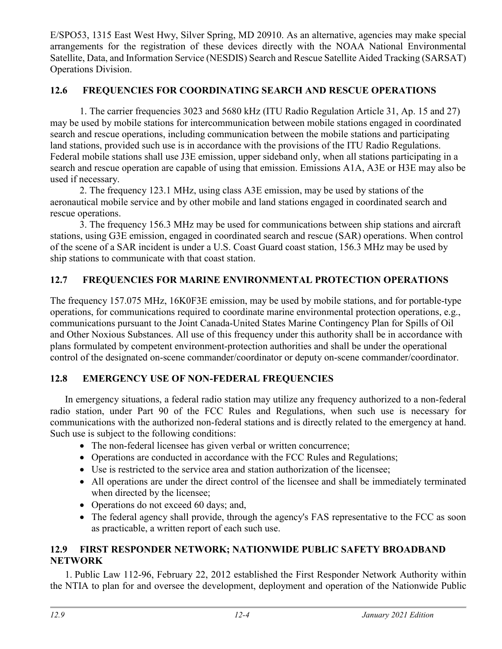E/SPO53, 1315 East West Hwy, Silver Spring, MD 20910. As an alternative, agencies may make special arrangements for the registration of these devices directly with the NOAA National Environmental Satellite, Data, and Information Service (NESDIS) Search and Rescue Satellite Aided Tracking (SARSAT) Operations Division.

## **12.6 FREQUENCIES FOR COORDINATING SEARCH AND RESCUE OPERATIONS**

1. The carrier frequencies 3023 and 5680 kHz (ITU Radio Regulation Article 31, Ap. 15 and 27) may be used by mobile stations for intercommunication between mobile stations engaged in coordinated search and rescue operations, including communication between the mobile stations and participating land stations, provided such use is in accordance with the provisions of the ITU Radio Regulations. Federal mobile stations shall use J3E emission, upper sideband only, when all stations participating in a search and rescue operation are capable of using that emission. Emissions A1A, A3E or H3E may also be used if necessary.

2. The frequency 123.1 MHz, using class A3E emission, may be used by stations of the aeronautical mobile service and by other mobile and land stations engaged in coordinated search and rescue operations.

3. The frequency 156.3 MHz may be used for communications between ship stations and aircraft stations, using G3E emission, engaged in coordinated search and rescue (SAR) operations. When control of the scene of a SAR incident is under a U.S. Coast Guard coast station, 156.3 MHz may be used by ship stations to communicate with that coast station.

# **12.7 FREQUENCIES FOR MARINE ENVIRONMENTAL PROTECTION OPERATIONS**

The frequency 157.075 MHz, 16K0F3E emission, may be used by mobile stations, and for portable-type operations, for communications required to coordinate marine environmental protection operations, e.g., communications pursuant to the Joint Canada-United States Marine Contingency Plan for Spills of Oil and Other Noxious Substances. All use of this frequency under this authority shall be in accordance with plans formulated by competent environment-protection authorities and shall be under the operational control of the designated on-scene commander/coordinator or deputy on-scene commander/coordinator.

# **12.8 EMERGENCY USE OF NON-FEDERAL FREQUENCIES**

In emergency situations, a federal radio station may utilize any frequency authorized to a non-federal radio station, under Part 90 of the FCC Rules and Regulations, when such use is necessary for communications with the authorized non-federal stations and is directly related to the emergency at hand. Such use is subject to the following conditions:

- The non-federal licensee has given verbal or written concurrence;
- Operations are conducted in accordance with the FCC Rules and Regulations;
- Use is restricted to the service area and station authorization of the licensee;
- All operations are under the direct control of the licensee and shall be immediately terminated when directed by the licensee;
- Operations do not exceed 60 days; and,
- The federal agency shall provide, through the agency's FAS representative to the FCC as soon as practicable, a written report of each such use.

## **12.9 FIRST RESPONDER NETWORK; NATIONWIDE PUBLIC SAFETY BROADBAND NETWORK**

1. Public Law 112-96, February 22, 2012 established the First Responder Network Authority within the NTIA to plan for and oversee the development, deployment and operation of the Nationwide Public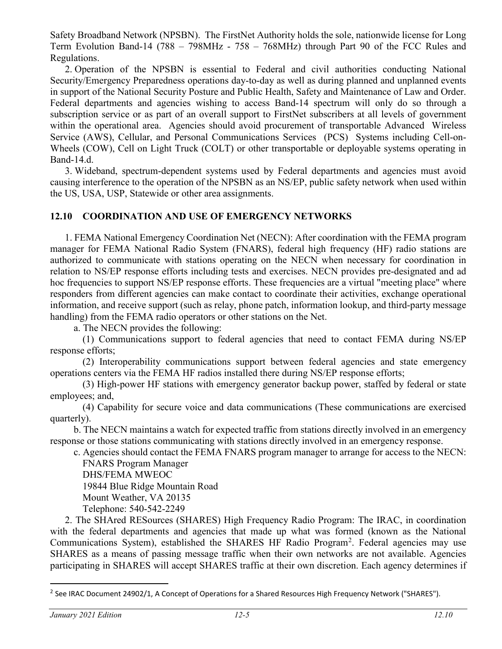Safety Broadband Network (NPSBN). The FirstNet Authority holds the sole, nationwide license for Long Term Evolution Band-14 (788 – 798MHz - 758 – 768MHz) through Part 90 of the FCC Rules and Regulations.

2. Operation of the NPSBN is essential to Federal and civil authorities conducting National Security/Emergency Preparedness operations day-to-day as well as during planned and unplanned events in support of the National Security Posture and Public Health, Safety and Maintenance of Law and Order. Federal departments and agencies wishing to access Band-14 spectrum will only do so through a subscription service or as part of an overall support to FirstNet subscribers at all levels of government within the operational area. Agencies should avoid procurement of transportable Advanced Wireless Service (AWS), Cellular, and Personal Communications Services (PCS) Systems including Cell-on-Wheels (COW), Cell on Light Truck (COLT) or other transportable or deployable systems operating in Band-14.d.

3. Wideband, spectrum-dependent systems used by Federal departments and agencies must avoid causing interference to the operation of the NPSBN as an NS/EP, public safety network when used within the US, USA, USP, Statewide or other area assignments.

#### **12.10 COORDINATION AND USE OF EMERGENCY NETWORKS**

1. FEMA National Emergency Coordination Net (NECN): After coordination with the FEMA program manager for FEMA National Radio System (FNARS), federal high frequency (HF) radio stations are authorized to communicate with stations operating on the NECN when necessary for coordination in relation to NS/EP response efforts including tests and exercises. NECN provides pre-designated and ad hoc frequencies to support NS/EP response efforts. These frequencies are a virtual "meeting place" where responders from different agencies can make contact to coordinate their activities, exchange operational information, and receive support (such as relay, phone patch, information lookup, and third-party message handling) from the FEMA radio operators or other stations on the Net.

a. The NECN provides the following:

(1) Communications support to federal agencies that need to contact FEMA during NS/EP response efforts;

(2) Interoperability communications support between federal agencies and state emergency operations centers via the FEMA HF radios installed there during NS/EP response efforts;

(3) High-power HF stations with emergency generator backup power, staffed by federal or state employees; and,

(4) Capability for secure voice and data communications (These communications are exercised quarterly).

b. The NECN maintains a watch for expected traffic from stations directly involved in an emergency response or those stations communicating with stations directly involved in an emergency response.

c. Agencies should contact the FEMA FNARS program manager to arrange for access to the NECN:

FNARS Program Manager DHS/FEMA MWEOC 19844 Blue Ridge Mountain Road Mount Weather, VA 20135 Telephone: 540-542-2249

2. The SHAred RESources (SHARES) High Frequency Radio Program: The IRAC, in coordination with the federal departments and agencies that made up what was formed (known as the National Communications System), established the SHARES HF Radio Program<sup>[2](#page-4-0)</sup>. Federal agencies may use SHARES as a means of passing message traffic when their own networks are not available. Agencies participating in SHARES will accept SHARES traffic at their own discretion. Each agency determines if

<span id="page-4-0"></span><sup>&</sup>lt;sup>2</sup> See IRAC Document 24902/1, A Concept of Operations for a Shared Resources High Frequency Network ("SHARES").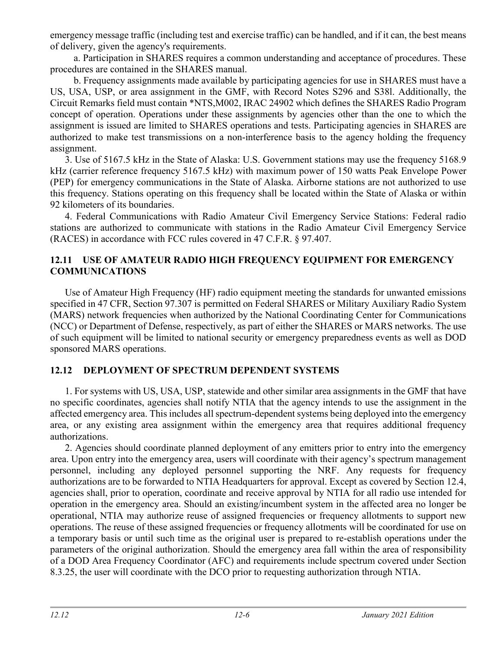emergency message traffic (including test and exercise traffic) can be handled, and if it can, the best means of delivery, given the agency's requirements.

a. Participation in SHARES requires a common understanding and acceptance of procedures. These procedures are contained in the SHARES manual.

b. Frequency assignments made available by participating agencies for use in SHARES must have a US, USA, USP, or area assignment in the GMF, with Record Notes S296 and S38l. Additionally, the Circuit Remarks field must contain \*NTS,M002, IRAC 24902 which defines the SHARES Radio Program concept of operation. Operations under these assignments by agencies other than the one to which the assignment is issued are limited to SHARES operations and tests. Participating agencies in SHARES are authorized to make test transmissions on a non-interference basis to the agency holding the frequency assignment.

3. Use of 5167.5 kHz in the State of Alaska: U.S. Government stations may use the frequency 5168.9 kHz (carrier reference frequency 5167.5 kHz) with maximum power of 150 watts Peak Envelope Power (PEP) for emergency communications in the State of Alaska. Airborne stations are not authorized to use this frequency. Stations operating on this frequency shall be located within the State of Alaska or within 92 kilometers of its boundaries.

4. Federal Communications with Radio Amateur Civil Emergency Service Stations: Federal radio stations are authorized to communicate with stations in the Radio Amateur Civil Emergency Service (RACES) in accordance with FCC rules covered in 47 C.F.R. § 97.407.

## **12.11 USE OF AMATEUR RADIO HIGH FREQUENCY EQUIPMENT FOR EMERGENCY COMMUNICATIONS**

Use of Amateur High Frequency (HF) radio equipment meeting the standards for unwanted emissions specified in 47 CFR, Section 97.307 is permitted on Federal SHARES or Military Auxiliary Radio System (MARS) network frequencies when authorized by the National Coordinating Center for Communications (NCC) or Department of Defense, respectively, as part of either the SHARES or MARS networks. The use of such equipment will be limited to national security or emergency preparedness events as well as DOD sponsored MARS operations.

## **12.12 DEPLOYMENT OF SPECTRUM DEPENDENT SYSTEMS**

1. For systems with US, USA, USP, statewide and other similar area assignments in the GMF that have no specific coordinates, agencies shall notify NTIA that the agency intends to use the assignment in the affected emergency area. This includes all spectrum-dependent systems being deployed into the emergency area, or any existing area assignment within the emergency area that requires additional frequency authorizations.

2. Agencies should coordinate planned deployment of any emitters prior to entry into the emergency area. Upon entry into the emergency area, users will coordinate with their agency's spectrum management personnel, including any deployed personnel supporting the NRF. Any requests for frequency authorizations are to be forwarded to NTIA Headquarters for approval. Except as covered by Section 12.4, agencies shall, prior to operation, coordinate and receive approval by NTIA for all radio use intended for operation in the emergency area. Should an existing/incumbent system in the affected area no longer be operational, NTIA may authorize reuse of assigned frequencies or frequency allotments to support new operations. The reuse of these assigned frequencies or frequency allotments will be coordinated for use on a temporary basis or until such time as the original user is prepared to re-establish operations under the parameters of the original authorization. Should the emergency area fall within the area of responsibility of a DOD Area Frequency Coordinator (AFC) and requirements include spectrum covered under Section 8.3.25, the user will coordinate with the DCO prior to requesting authorization through NTIA.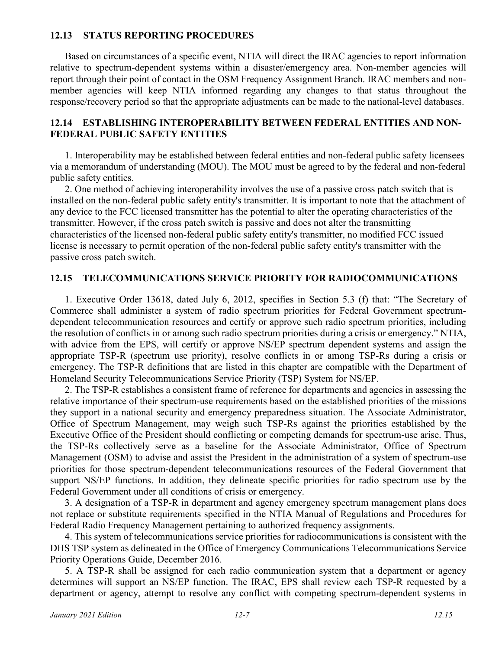## **12.13 STATUS REPORTING PROCEDURES**

Based on circumstances of a specific event, NTIA will direct the IRAC agencies to report information relative to spectrum-dependent systems within a disaster/emergency area. Non-member agencies will report through their point of contact in the OSM Frequency Assignment Branch. IRAC members and nonmember agencies will keep NTIA informed regarding any changes to that status throughout the response/recovery period so that the appropriate adjustments can be made to the national-level databases.

#### **12.14 ESTABLISHING INTEROPERABILITY BETWEEN FEDERAL ENTITIES AND NON-FEDERAL PUBLIC SAFETY ENTITIES**

1. Interoperability may be established between federal entities and non-federal public safety licensees via a memorandum of understanding (MOU). The MOU must be agreed to by the federal and non-federal public safety entities.

2. One method of achieving interoperability involves the use of a passive cross patch switch that is installed on the non-federal public safety entity's transmitter. It is important to note that the attachment of any device to the FCC licensed transmitter has the potential to alter the operating characteristics of the transmitter. However, if the cross patch switch is passive and does not alter the transmitting characteristics of the licensed non-federal public safety entity's transmitter, no modified FCC issued license is necessary to permit operation of the non-federal public safety entity's transmitter with the passive cross patch switch.

## **12.15 TELECOMMUNICATIONS SERVICE PRIORITY FOR RADIOCOMMUNICATIONS**

1. Executive Order 13618, dated July 6, 2012, specifies in Section 5.3 (f) that: "The Secretary of Commerce shall administer a system of radio spectrum priorities for Federal Government spectrumdependent telecommunication resources and certify or approve such radio spectrum priorities, including the resolution of conflicts in or among such radio spectrum priorities during a crisis or emergency." NTIA, with advice from the EPS, will certify or approve NS/EP spectrum dependent systems and assign the appropriate TSP-R (spectrum use priority), resolve conflicts in or among TSP-Rs during a crisis or emergency. The TSP-R definitions that are listed in this chapter are compatible with the Department of Homeland Security Telecommunications Service Priority (TSP) System for NS/EP.

2. The TSP-R establishes a consistent frame of reference for departments and agencies in assessing the relative importance of their spectrum-use requirements based on the established priorities of the missions they support in a national security and emergency preparedness situation. The Associate Administrator, Office of Spectrum Management, may weigh such TSP-Rs against the priorities established by the Executive Office of the President should conflicting or competing demands for spectrum-use arise. Thus, the TSP-Rs collectively serve as a baseline for the Associate Administrator, Office of Spectrum Management (OSM) to advise and assist the President in the administration of a system of spectrum-use priorities for those spectrum-dependent telecommunications resources of the Federal Government that support NS/EP functions. In addition, they delineate specific priorities for radio spectrum use by the Federal Government under all conditions of crisis or emergency.

3. A designation of a TSP-R in department and agency emergency spectrum management plans does not replace or substitute requirements specified in the NTIA Manual of Regulations and Procedures for Federal Radio Frequency Management pertaining to authorized frequency assignments.

4. This system of telecommunications service priorities for radiocommunications is consistent with the DHS TSP system as delineated in the Office of Emergency Communications Telecommunications Service Priority Operations Guide, December 2016.

5. A TSP-R shall be assigned for each radio communication system that a department or agency determines will support an NS/EP function. The IRAC, EPS shall review each TSP-R requested by a department or agency, attempt to resolve any conflict with competing spectrum-dependent systems in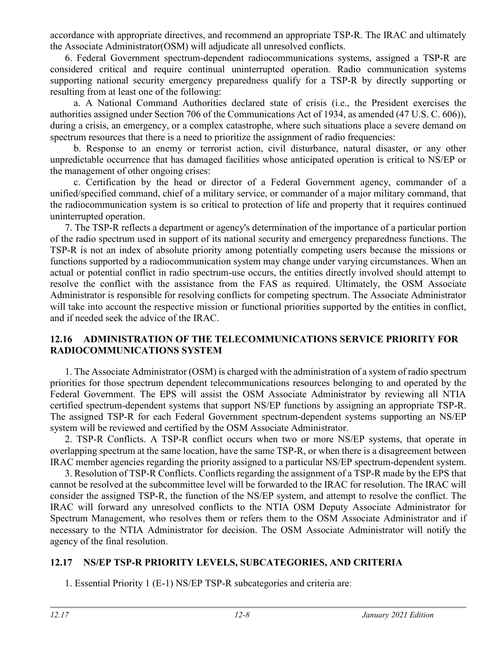accordance with appropriate directives, and recommend an appropriate TSP-R. The IRAC and ultimately the Associate Administrator(OSM) will adjudicate all unresolved conflicts.

6. Federal Government spectrum-dependent radiocommunications systems, assigned a TSP-R are considered critical and require continual uninterrupted operation. Radio communication systems supporting national security emergency preparedness qualify for a TSP-R by directly supporting or resulting from at least one of the following:

a. A National Command Authorities declared state of crisis (i.e., the President exercises the authorities assigned under Section 706 of the Communications Act of 1934, as amended (47 U.S. C. 606)), during a crisis, an emergency, or a complex catastrophe, where such situations place a severe demand on spectrum resources that there is a need to prioritize the assignment of radio frequencies:

b. Response to an enemy or terrorist action, civil disturbance, natural disaster, or any other unpredictable occurrence that has damaged facilities whose anticipated operation is critical to NS/EP or the management of other ongoing crises:

c. Certification by the head or director of a Federal Government agency, commander of a unified/specified command, chief of a military service, or commander of a major military command, that the radiocommunication system is so critical to protection of life and property that it requires continued uninterrupted operation.

7. The TSP-R reflects a department or agency's determination of the importance of a particular portion of the radio spectrum used in support of its national security and emergency preparedness functions. The TSP-R is not an index of absolute priority among potentially competing users because the missions or functions supported by a radiocommunication system may change under varying circumstances. When an actual or potential conflict in radio spectrum-use occurs, the entities directly involved should attempt to resolve the conflict with the assistance from the FAS as required. Ultimately, the OSM Associate Administrator is responsible for resolving conflicts for competing spectrum. The Associate Administrator will take into account the respective mission or functional priorities supported by the entities in conflict, and if needed seek the advice of the IRAC.

#### **12.16 ADMINISTRATION OF THE TELECOMMUNICATIONS SERVICE PRIORITY FOR RADIOCOMMUNICATIONS SYSTEM**

1. The Associate Administrator (OSM) is charged with the administration of a system of radio spectrum priorities for those spectrum dependent telecommunications resources belonging to and operated by the Federal Government. The EPS will assist the OSM Associate Administrator by reviewing all NTIA certified spectrum-dependent systems that support NS/EP functions by assigning an appropriate TSP-R. The assigned TSP-R for each Federal Government spectrum-dependent systems supporting an NS/EP system will be reviewed and certified by the OSM Associate Administrator.

2. TSP-R Conflicts. A TSP-R conflict occurs when two or more NS/EP systems, that operate in overlapping spectrum at the same location, have the same TSP-R, or when there is a disagreement between IRAC member agencies regarding the priority assigned to a particular NS/EP spectrum-dependent system.

3. Resolution of TSP-R Conflicts. Conflicts regarding the assignment of a TSP-R made by the EPS that cannot be resolved at the subcommittee level will be forwarded to the IRAC for resolution. The IRAC will consider the assigned TSP-R, the function of the NS/EP system, and attempt to resolve the conflict. The IRAC will forward any unresolved conflicts to the NTIA OSM Deputy Associate Administrator for Spectrum Management, who resolves them or refers them to the OSM Associate Administrator and if necessary to the NTIA Administrator for decision. The OSM Associate Administrator will notify the agency of the final resolution.

## **12.17 NS/EP TSP-R PRIORITY LEVELS, SUBCATEGORIES, AND CRITERIA**

1. Essential Priority 1 (E-1) NS/EP TSP-R subcategories and criteria are: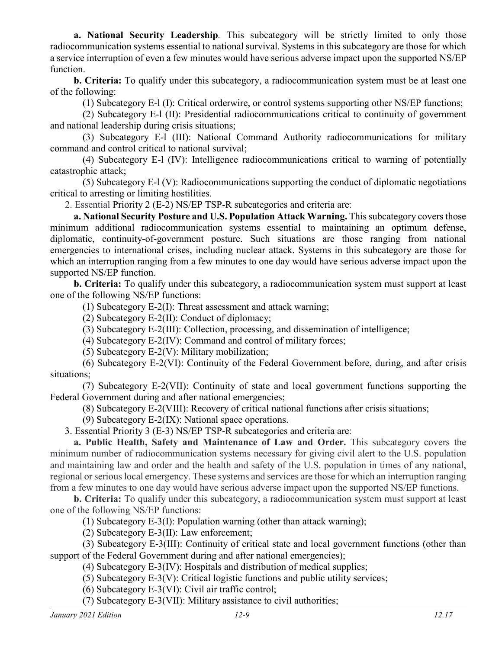**a. National Security Leadership***.* This subcategory will be strictly limited to only those radiocommunication systems essential to national survival. Systems in this subcategory are those for which a service interruption of even a few minutes would have serious adverse impact upon the supported NS/EP function.

**b. Criteria:** To qualify under this subcategory, a radiocommunication system must be at least one of the following:

(1) Subcategory E-l (I): Critical orderwire, or control systems supporting other NS/EP functions;

(2) Subcategory E-l (II): Presidential radiocommunications critical to continuity of government and national leadership during crisis situations;

(3) Subcategory E-l (III): National Command Authority radiocommunications for military command and control critical to national survival;

(4) Subcategory E-l (IV): Intelligence radiocommunications critical to warning of potentially catastrophic attack;

(5) Subcategory E-l (V): Radiocommunications supporting the conduct of diplomatic negotiations critical to arresting or limiting hostilities.

2. Essential Priority 2 (E-2) NS/EP TSP-R subcategories and criteria are:

**a. National Security Posture and U.S. Population Attack Warning.** This subcategory covers those minimum additional radiocommunication systems essential to maintaining an optimum defense, diplomatic, continuity-of-government posture. Such situations are those ranging from national emergencies to international crises, including nuclear attack. Systems in this subcategory are those for which an interruption ranging from a few minutes to one day would have serious adverse impact upon the supported NS/EP function.

**b. Criteria:** To qualify under this subcategory, a radiocommunication system must support at least one of the following NS/EP functions:

(1) Subcategory E-2(I): Threat assessment and attack warning;

(2) Subcategory E-2(II): Conduct of diplomacy;

(3) Subcategory E-2(III): Collection, processing, and dissemination of intelligence;

(4) Subcategory E-2(IV): Command and control of military forces;

(5) Subcategory E-2(V): Military mobilization;

(6) Subcategory E-2(VI): Continuity of the Federal Government before, during, and after crisis situations;

(7) Subcategory E-2(VII): Continuity of state and local government functions supporting the Federal Government during and after national emergencies;

(8) Subcategory E-2(VIII): Recovery of critical national functions after crisis situations;

(9) Subcategory E-2(IX): National space operations.

3. Essential Priority 3 (E-3) NS/EP TSP-R subcategories and criteria are:

**a. Public Health, Safety and Maintenance of Law and Order.** This subcategory covers the minimum number of radiocommunication systems necessary for giving civil alert to the U.S. population and maintaining law and order and the health and safety of the U.S. population in times of any national, regional or serious local emergency. These systems and services are those for which an interruption ranging from a few minutes to one day would have serious adverse impact upon the supported NS/EP functions.

**b. Criteria:** To qualify under this subcategory, a radiocommunication system must support at least one of the following NS/EP functions:

(1) Subcategory E-3(I): Population warning (other than attack warning);

(2) Subcategory E-3(II): Law enforcement;

(3) Subcategory E-3(III): Continuity of critical state and local government functions (other than support of the Federal Government during and after national emergencies);

(4) Subcategory E-3(IV): Hospitals and distribution of medical supplies;

(5) Subcategory E-3(V): Critical logistic functions and public utility services;

(6) Subcategory E-3(VI): Civil air traffic control;

(7) Subcategory E-3(VII): Military assistance to civil authorities;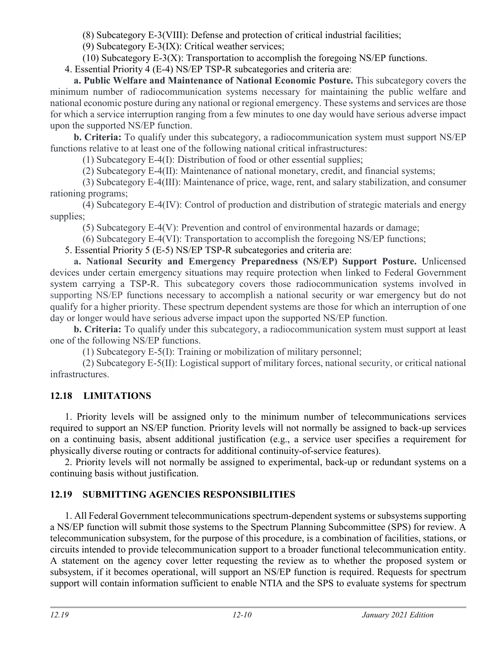(8) Subcategory E-3(VIII): Defense and protection of critical industrial facilities;

(9) Subcategory E-3(IX): Critical weather services;

(10) Subcategory E-3(X): Transportation to accomplish the foregoing NS/EP functions.

4. Essential Priority 4 (E-4) NS/EP TSP-R subcategories and criteria are:

**a. Public Welfare and Maintenance of National Economic Posture.** This subcategory covers the minimum number of radiocommunication systems necessary for maintaining the public welfare and national economic posture during any national or regional emergency. These systems and services are those for which a service interruption ranging from a few minutes to one day would have serious adverse impact upon the supported NS/EP function.

**b. Criteria:** To qualify under this subcategory, a radiocommunication system must support NS/EP functions relative to at least one of the following national critical infrastructures:

(1) Subcategory E-4(I): Distribution of food or other essential supplies;

(2) Subcategory E-4(II): Maintenance of national monetary, credit, and financial systems;

(3) Subcategory E-4(III): Maintenance of price, wage, rent, and salary stabilization, and consumer rationing programs;

(4) Subcategory E-4(IV): Control of production and distribution of strategic materials and energy supplies;

(5) Subcategory E-4(V): Prevention and control of environmental hazards or damage;

(6) Subcategory E-4(VI): Transportation to accomplish the foregoing NS/EP functions;

5. Essential Priority 5 (E-5) NS/EP TSP-R subcategories and criteria are:

**a. National Security and Emergency Preparedness (NS/EP) Support Posture.** Unlicensed devices under certain emergency situations may require protection when linked to Federal Government system carrying a TSP-R. This subcategory covers those radiocommunication systems involved in supporting NS/EP functions necessary to accomplish a national security or war emergency but do not qualify for a higher priority. These spectrum dependent systems are those for which an interruption of one day or longer would have serious adverse impact upon the supported NS/EP function.

**b. Criteria:** To qualify under this subcategory, a radiocommunication system must support at least one of the following NS/EP functions.

(1) Subcategory E-5(I): Training or mobilization of military personnel;

(2) Subcategory E-5(II): Logistical support of military forces, national security, or critical national infrastructures.

# **12.18 LIMITATIONS**

1. Priority levels will be assigned only to the minimum number of telecommunications services required to support an NS/EP function. Priority levels will not normally be assigned to back-up services on a continuing basis, absent additional justification (e.g., a service user specifies a requirement for physically diverse routing or contracts for additional continuity-of-service features).

2. Priority levels will not normally be assigned to experimental, back-up or redundant systems on a continuing basis without justification.

# **12.19 SUBMITTING AGENCIES RESPONSIBILITIES**

1. All Federal Government telecommunications spectrum-dependent systems or subsystems supporting a NS/EP function will submit those systems to the Spectrum Planning Subcommittee (SPS) for review. A telecommunication subsystem, for the purpose of this procedure, is a combination of facilities, stations, or circuits intended to provide telecommunication support to a broader functional telecommunication entity. A statement on the agency cover letter requesting the review as to whether the proposed system or subsystem, if it becomes operational, will support an NS/EP function is required. Requests for spectrum support will contain information sufficient to enable NTIA and the SPS to evaluate systems for spectrum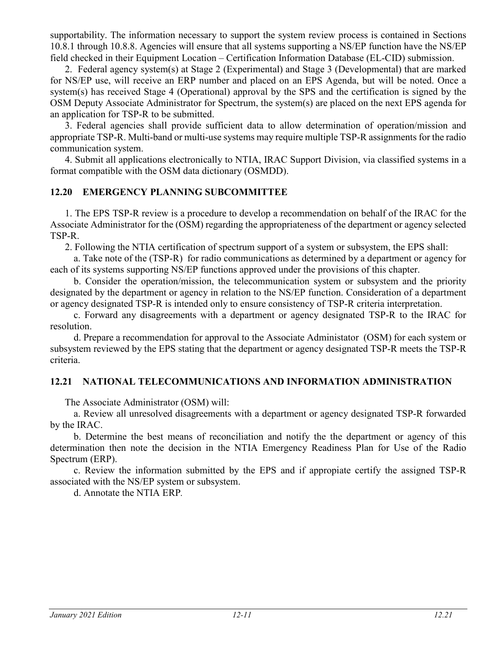supportability. The information necessary to support the system review process is contained in Sections 10.8.1 through 10.8.8. Agencies will ensure that all systems supporting a NS/EP function have the NS/EP field checked in their Equipment Location – Certification Information Database (EL-CID) submission.

2. Federal agency system(s) at Stage 2 (Experimental) and Stage 3 (Developmental) that are marked for NS/EP use, will receive an ERP number and placed on an EPS Agenda, but will be noted. Once a system(s) has received Stage 4 (Operational) approval by the SPS and the certification is signed by the OSM Deputy Associate Administrator for Spectrum, the system(s) are placed on the next EPS agenda for an application for TSP-R to be submitted.

3. Federal agencies shall provide sufficient data to allow determination of operation/mission and appropriate TSP-R. Multi-band or multi-use systems may require multiple TSP-R assignments for the radio communication system.

4. Submit all applications electronically to NTIA, IRAC Support Division, via classified systems in a format compatible with the OSM data dictionary (OSMDD).

#### **12.20 EMERGENCY PLANNING SUBCOMMITTEE**

1. The EPS TSP-R review is a procedure to develop a recommendation on behalf of the IRAC for the Associate Administrator for the (OSM) regarding the appropriateness of the department or agency selected TSP-R.

2. Following the NTIA certification of spectrum support of a system or subsystem, the EPS shall:

a. Take note of the (TSP-R) for radio communications as determined by a department or agency for each of its systems supporting NS/EP functions approved under the provisions of this chapter.

b. Consider the operation/mission, the telecommunication system or subsystem and the priority designated by the department or agency in relation to the NS/EP function. Consideration of a department or agency designated TSP-R is intended only to ensure consistency of TSP-R criteria interpretation.

c. Forward any disagreements with a department or agency designated TSP-R to the IRAC for resolution.

d. Prepare a recommendation for approval to the Associate Administator (OSM) for each system or subsystem reviewed by the EPS stating that the department or agency designated TSP-R meets the TSP-R criteria.

#### **12.21 NATIONAL TELECOMMUNICATIONS AND INFORMATION ADMINISTRATION**

The Associate Administrator (OSM) will:

a. Review all unresolved disagreements with a department or agency designated TSP-R forwarded by the IRAC.

b. Determine the best means of reconciliation and notify the the department or agency of this determination then note the decision in the NTIA Emergency Readiness Plan for Use of the Radio Spectrum (ERP).

c. Review the information submitted by the EPS and if appropiate certify the assigned TSP-R associated with the NS/EP system or subsystem.

d. Annotate the NTIA ERP*.*